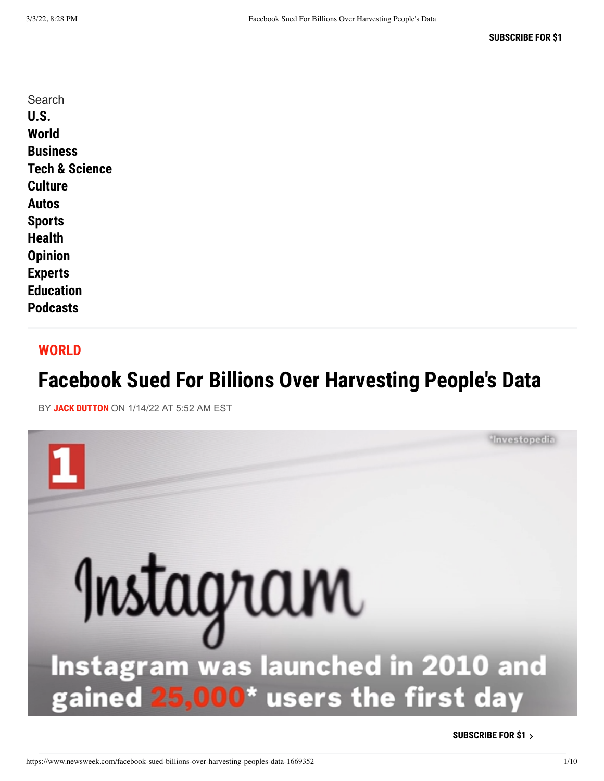#### **[WORLD](https://www.newsweek.com/world)**

# **Facebook Sued For Billions Over Harvesting People's Data**

BY **[JACK DUTTON](https://www.newsweek.com/authors/jack-dutton)** ON 1/14/22 AT 5:52 AM EST



**[SUBSCRIBE FOR \\$1](https://subscribe.newsweek.com/product/2)**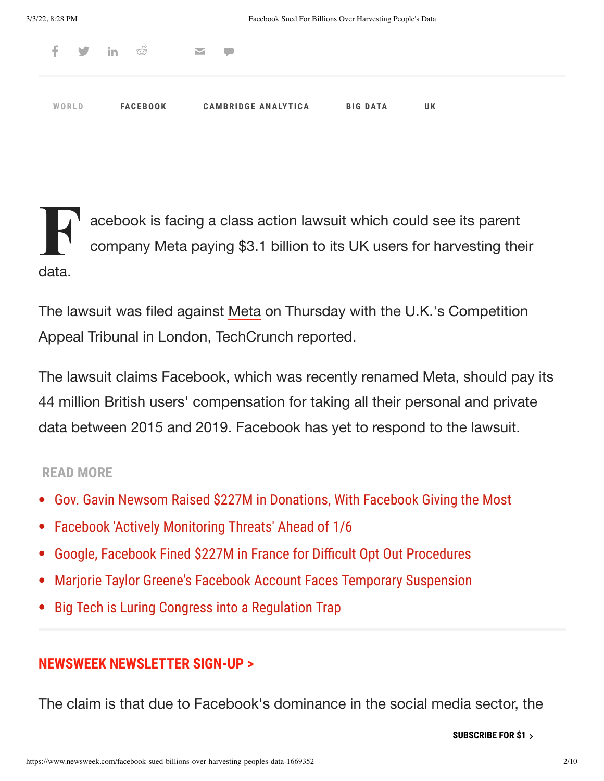|       |  |                 | f y in o ⊠ p |                            |                 |    |  |  |
|-------|--|-----------------|--------------|----------------------------|-----------------|----|--|--|
| WORLD |  | <b>FACEBOOK</b> |              | <b>CAMBRIDGE ANALYTICA</b> | <b>BIG DATA</b> | UK |  |  |

 $\prod_{c}$ acebook is facing a class action lawsuit which could see its parent company Meta paying \$3.1 billion to its UK users for harvesting their data.

The lawsuit was filed against [Meta](https://www.newsweek.com/facebook-changes-company-name-meta-rebrand-social-network-name-will-stay-1643605) on Thursday with the U.K.'s Competition Appeal Tribunal in London, TechCrunch reported.

The lawsuit claims [Facebook,](https://www.newsweek.com/topic/facebook) which was recently renamed Meta, should pay its 44 million British users' compensation for taking all their personal and private data between 2015 and 2019. Facebook has yet to respond to the lawsuit.

### **READ MORE**

- [Gov. Gavin Newsom Raised \\$227M in Donations, With Facebook Giving the Most](https://www.newsweek.com/facebook-blue-shield-listed-top-donors-california-during-pandemic-watchdog-report-1669243)
- [Facebook 'Actively Monitoring Threats' Ahead of 1/6](https://www.newsweek.com/facebook-actively-monitoring-threats-ahead-1-6-will-respond-accordingly-1666163)
- [Google, Facebook Fined \\$227M in France for Difficult Opt Out Procedures](https://www.newsweek.com/google-facebook-fined-227m-france-making-it-difficult-opt-out-tracking-1666323)
- [Marjorie Taylor Greene's Facebook Account Faces Temporary Suspension](https://www.newsweek.com/facebook-denies-suspending-censoring-marjorie-taylor-greenes-account-1665010)
- [Big Tech is Luring Congress into a Regulation Trap](https://www.newsweek.com/big-tech-luring-congress-regulation-trap-opinion-1659883)

## **[NEWSWEEK NEWSLETTER SIGN-UP >](https://www.newsweek.com/newsletter?subref=incontent_web_3)**

The claim is that due to Facebook's dominance in the social media sector, the

[people](https://www.newsweek.com/) had no other viable social media platform they could use instead. **[SUBSCRIBE FOR \\$1](https://subscribe.newsweek.com/product/2)**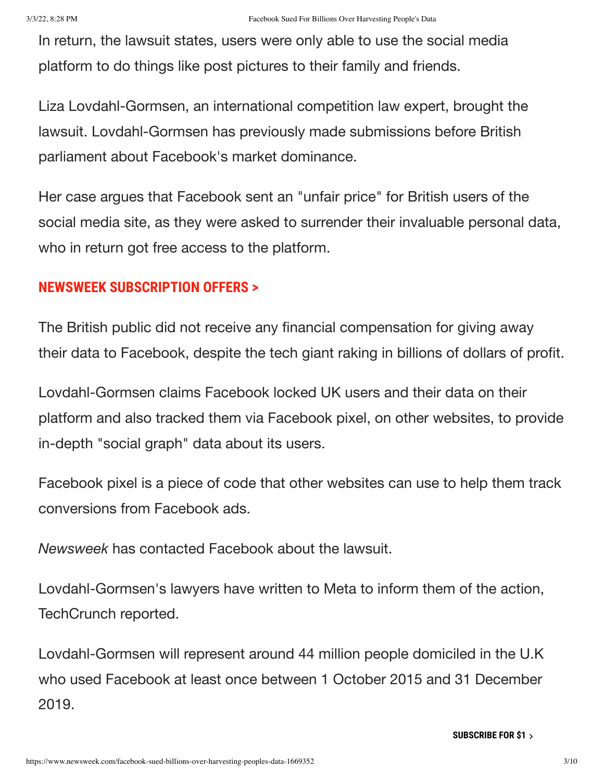In return, the lawsuit states, users were only able to use the social media platform to do things like post pictures to their family and friends.

Liza Lovdahl-Gormsen, an international competition law expert, brought the lawsuit. Lovdahl-Gormsen has previously made submissions before British parliament about Facebook's market dominance.

Her case argues that Facebook sent an "unfair price" for British users of the social media site, as they were asked to surrender their invaluable personal data, who in return got free access to the platform.

## **[NEWSWEEK SUBSCRIPTION OFFERS >](https://www.newsweek.com/subscribe?view=select&subref=incontent_web_7)**

The British public did not receive any financial compensation for giving away their data to Facebook, despite the tech giant raking in billions of dollars of profit.

Lovdahl-Gormsen claims Facebook locked UK users and their data on their platform and also tracked them via Facebook pixel, on other websites, to provide in-depth "social graph" data about its users.

Facebook pixel is a piece of code that other websites can use to help them track conversions from Facebook ads.

*Newsweek* has contacted Facebook about the lawsuit.

Lovdahl-Gormsen's lawyers have written to Meta to inform them of the action, TechCrunch reported.

Lovdahl-Gormsen will represent around 44 million people domiciled in the U.K who used Facebook at least once between 1 October 2015 and 31 December 2019.

**[SUBSCRIBE FOR \\$1](https://subscribe.newsweek.com/product/2)**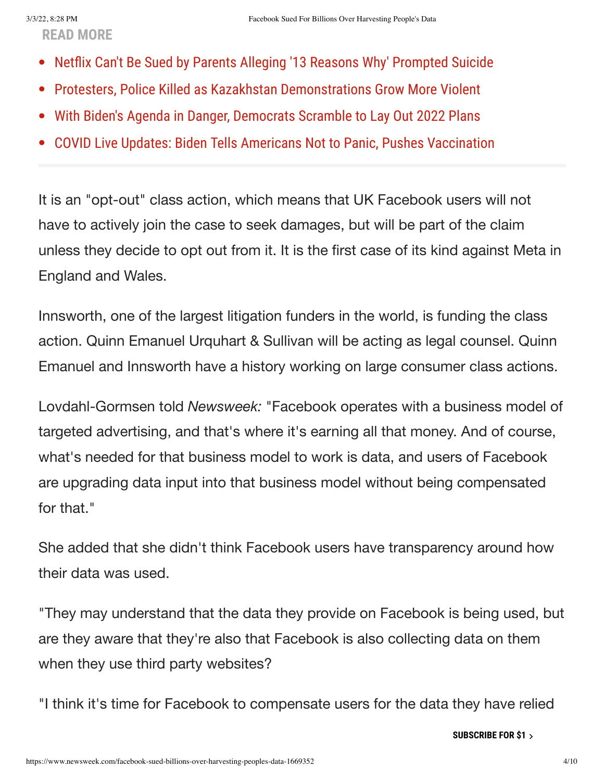**READ MORE**

- [Netflix Can't Be Sued by Parents Alleging '13 Reasons Why' Prompted Suicide](https://www.newsweek.com/judge-rules-netflix-cant-sued-parents-who-allege-13-reasons-why-prompted-suicide-1668361)  $\bullet$
- [Protesters, Police Killed as Kazakhstan Demonstrations Grow More Violent](https://www.newsweek.com/dozens-protesters-police-killed-kazakhstan-demonstrations-grow-more-violent-1666357)  $\bullet$
- [With Biden's Agenda in Danger, Democrats Scramble to Lay Out 2022 Plans](https://www.newsweek.com/bidens-agenda-danger-democrats-scramble-lay-out-2022-battle-plan-1663678)  $\bullet$
- [COVID Live Updates: Biden Tells Americans Not to Panic, Pushes Vaccination](https://www.newsweek.com/covid-live-updates-booster-shots-expanding-children-1664931)

It is an "opt-out" class action, which means that UK Facebook users will not have to actively join the case to seek damages, but will be part of the claim unless they decide to opt out from it. It is the first case of its kind against Meta in England and Wales.

Innsworth, one of the largest litigation funders in the world, is funding the class action. Quinn Emanuel Urquhart & Sullivan will be acting as legal counsel. Quinn Emanuel and Innsworth have a history working on large consumer class actions.

Lovdahl-Gormsen told *Newsweek:* "Facebook operates with a business model of targeted advertising, and that's where it's earning all that money. And of course, what's needed for that business model to work is data, and users of Facebook are upgrading data input into that business model without being compensated for that."

She added that she didn't think Facebook users have transparency around how their data was used.

"They may understand that the data they provide on Facebook is being used, but are they aware that they're also that Facebook is also collecting data on them when they use third party websites?

"I think it's time for Facebook to compensate users for the data they have relied

**[SUBSCRIBE FOR \\$1](https://subscribe.newsweek.com/product/2)**